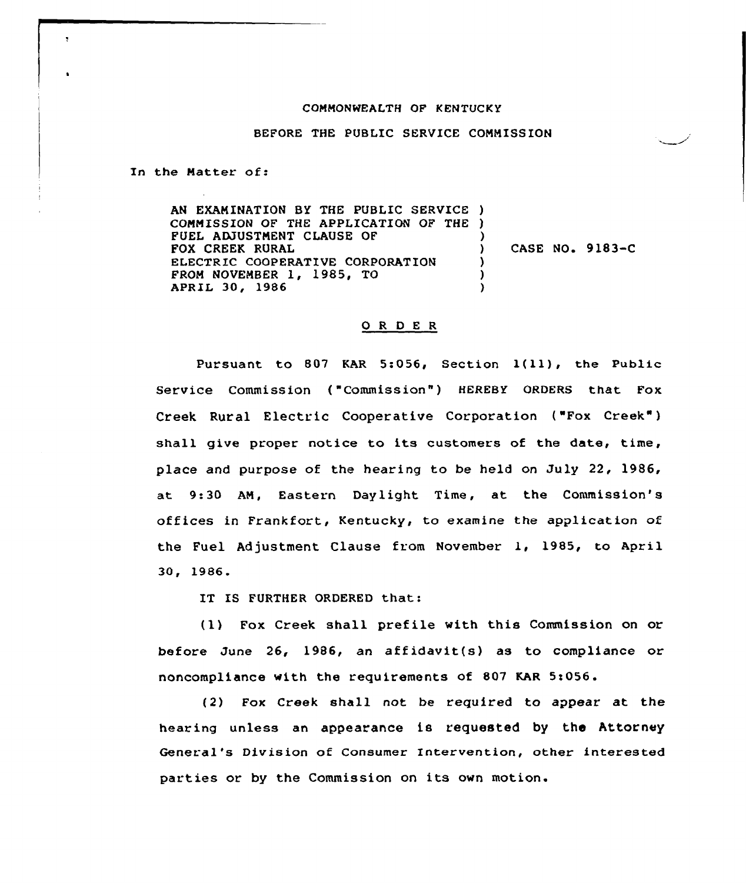## COMMONWEALTH OF KENTUCKY

## BEFORE THE PUBLIC SERVICE CONNISS ION

In the Natter of:

 $\overline{\mathbf{y}}$ 

AN EXAMINATION BY THE PUBLIC SERVICE ) CONNISSIQN OF THE APPLICATION OF THE ) FUEL ADJUSTMENT CLAUSE OF FOX CREEK RURAL ELECTRIC COOPERATIVE CORPORATION FROM NOVEMBER 1, 1985, TO APRIL 30, 1986 ) ) CASE NO. 9 1&3-C ) ) )

## 0 <sup>R</sup> <sup>D</sup> E <sup>R</sup>

Pursuant to <sup>807</sup> KAR 5:056, Section l(ll), the Public Service Commission ("Commission") HEREBY ORDERS that Fox Creek Rural Electric Cooperative Corporation ("Fox Creek") shall give proper notice to its customers of the date, time, place and purpose of the hearing to be held on July 22, 1986, at 9:30 AN, Eastern Daylight Time, at the Commission's offices in Frankfort, Kentucky, to examine the application of the Fuel Adjustment Clause from November 1, 1985, to April 30, 1986

IT IS FURTHER ORDERED that:

(1) Fox Creek shall prefile with this Commission on or before June 26, 1986, an affidavit(s) as to compliance or noncompliance with the requirements of 807 KAR 5:056.

(2) Fox Creek shall not be required to appear at the hearing unless an appearance is requested by the Attorney General's Division of Consumer Intervention, other interested parties or by the Commission on its own motion.